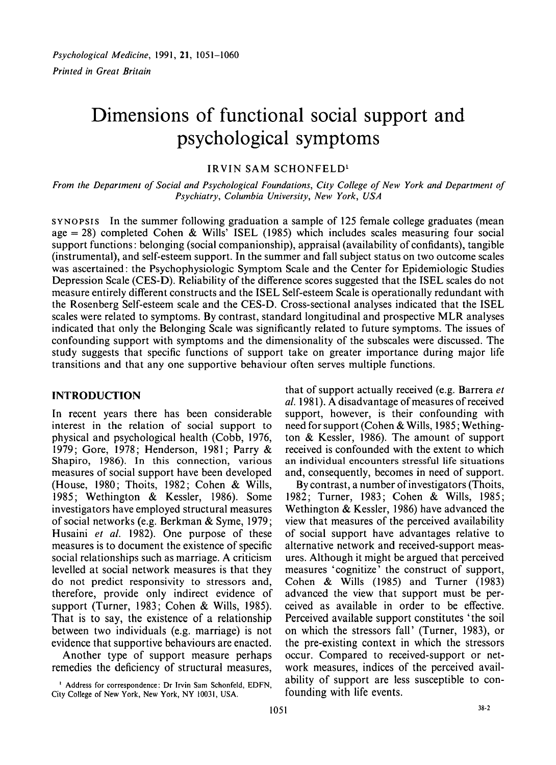# Dimensions of functional social support and psychological symptoms

## IRVIN SAM SCHONFELD1

*From the Department of Social and Psychological Foundations, City College of New York and Department of Psychiatry, Columbia University, New York, USA*

SYNOPSIS In the summer following graduation a sample of 125 female college graduates (mean age  $= 28$ ) completed Cohen & Wills' ISEL (1985) which includes scales measuring four social support functions: belonging (social companionship), appraisal (availability of confidants), tangible (instrumental), and self-esteem support. In the summer and fall subject status on two outcome scales was ascertained: the Psychophysiologic Symptom Scale and the Center for Epidemiologic Studies Depression Scale (CES-D). Reliability of the difference scores suggested that the ISEL scales do not measure entirely different constructs and the ISEL Self-esteem Scale is operationally redundant with the Rosenberg Self-esteem scale and the CES-D. Cross-sectional analyses indicated that the ISEL scales were related to symptoms. By contrast, standard longitudinal and prospective MLR analyses indicated that only the Belonging Scale was significantly related to future symptoms. The issues of confounding support with symptoms and the dimensionality of the subscales were discussed. The study suggests that specific functions of support take on greater importance during major life transitions and that any one supportive behaviour often serves multiple functions.

# **INTRODUCTION**

In recent years there has been considerable interest in the relation of social support to physical and psychological health (Cobb, 1976, 1979; Gore, 1978; Henderson, 1981; Parry & Shapiro, 1986). In this connection, various measures of social support have been developed (House, 1980; Thoits, 1982; Cohen & Wills, 1985; Wethington & Kessler, 1986). Some investigators have employed structural measures of social networks (e.g. Berkman & Syme, 1979; Husaini *et al.* 1982). One purpose of these measures is to document the existence of specific social relationships such as marriage. A criticism levelled at social network measures is that they do not predict responsivity to stressors and, therefore, provide only indirect evidence of support (Turner, 1983; Cohen & Wills, 1985). That is to say, the existence of a relationship between two individuals (e.g. marriage) is not evidence that supportive behaviours are enacted.

Another type of support measure perhaps remedies the deficiency of structural measures, that of support actually received (e.g. Barrera *et al.* 1981). A disadvantage of measures of received support, however, is their confounding with need for support (Cohen & Wills, 1985; Wethington & Kessler, 1986). The amount of support received is confounded with the extent to which an individual encounters stressful life situations and, consequently, becomes in need of support.

By contrast, a number of investigators (Thoits, 1982; Turner, 1983; Cohen & Wills, 1985; Wethington & Kessler, 1986) have advanced the view that measures of the perceived availability of social support have advantages relative to alternative network and received-support measures. Although it might be argued that perceived measures 'cognitize' the construct of support, Cohen & Wills (1985) and Turner (1983) advanced the view that support must be perceived as available in order to be effective. Perceived available support constitutes' the soil on which the stressors fall' (Turner, 1983), or the pre-existing context in which the stressors occur. Compared to received-support or network measures, indices of the perceived availability of support are less susceptible to confounding with life events.

<sup>1</sup> Address for correspondence: Dr Irvin Sam Schonfeld, EDFN, City College of New York, New York, NY 10031, USA.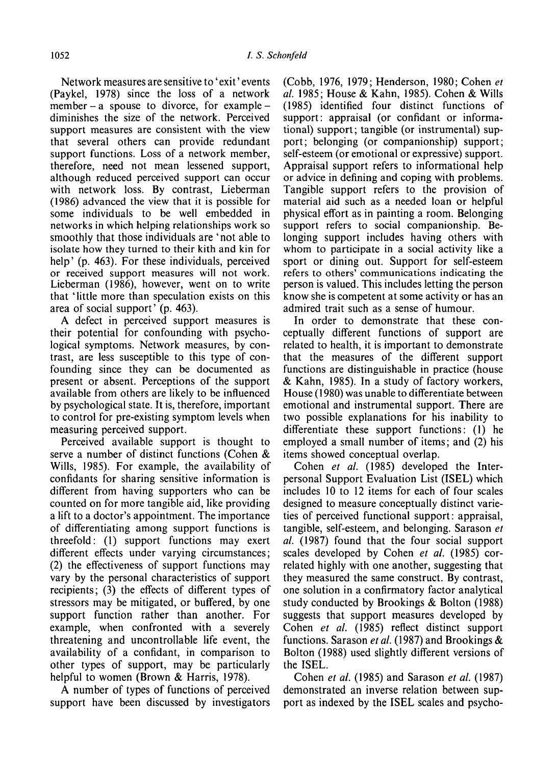Network measures are sensitive to 'exit' events (Paykel, 1978) since the loss of a network member  $-$  a spouse to divorce, for example  $$ diminishes the size of the network. Perceived support measures are consistent with the view that several others can provide redundant support functions. Loss of a network member, therefore, need not mean lessened support, although reduced perceived support can occur with network loss. By contrast, Lieberman (1986) advanced the view that it is possible for some individuals to be well embedded in networks in which helping relationships work so smoothly that those individuals are ' not able to isolate how they turned to their kith and kin for help' (p. 463). For these individuals, perceived or received support measures will not work. Lieberman (1986), however, went on to write that 'little more than speculation exists on this area of social support' (p. 463).

A defect in perceived support measures is their potential for confounding with psychological symptoms. Network measures, by contrast, are less susceptible to this type of confounding since they can be documented as present or absent. Perceptions of the support available from others are likely to be influenced by psychological state. It is, therefore, important to control for pre-existing symptom levels when measuring perceived support.

Perceived available support is thought to serve a number of distinct functions (Cohen & Wills, 1985). For example, the availability of confidants for sharing sensitive information is different from having supporters who can be counted on for more tangible aid, like providing a lift to a doctor's appointment. The importance of differentiating among support functions is threefold: (1) support functions may exert different effects under varying circumstances; (2) the effectiveness of support functions may vary by the personal characteristics of support recipients; (3) the effects of different types of stressors may be mitigated, or buffered, by one support function rather than another. For example, when confronted with a severely threatening and uncontrollable life event, the availability of a confidant, in comparison to other types of support, may be particularly helpful to women (Brown & Harris, 1978).

A number of types of functions of perceived support have been discussed by investigators (Cobb, 1976, 1979; Henderson, 1980; Cohen *et al.* 1985; House & Kahn, 1985). Cohen & Wills (1985) identified four distinct functions of support: appraisal (or confidant or informational) support; tangible (or instrumental) support; belonging (or companionship) support; self-esteem (or emotional or expressive) support. Appraisal support refers to informational help or advice in defining and coping with problems. Tangible support refers to the provision of material aid such as a needed loan or helpful physical effort as in painting a room. Belonging support refers to social companionship. Belonging support includes having others with whom to participate in a social activity like a sport or dining out. Support for self-esteem refers to others' communications indicating the person is valued. This includes letting the person know she is competent at some activity or has an admired trait such as a sense of humour.

In order to demonstrate that these conceptually different functions of support are related to health, it is important to demonstrate that the measures of the different support functions are distinguishable in practice (house & Kahn, 1985). In a study of factory workers, House (1980) was unable to differentiate between emotional and instrumental support. There are two possible explanations for his inability to differentiate these support functions: (1) he employed a small number of items; and (2) his items showed conceptual overlap.

Cohen *et al.* (1985) developed the Interpersonal Support Evaluation List (ISEL) which includes 10 to 12 items for each of four scales designed to measure conceptually distinct varieties of perceived functional support: appraisal, tangible, self-esteem, and belonging. Sarason *et al.* (1987) found that the four social support scales developed by Cohen *et al.* (1985) correlated highly with one another, suggesting that they measured the same construct. By contrast, one solution in a confirmatory factor analytical study conducted by Brookings & Bolton (1988) suggests that support measures developed by Cohen *et al.* (1985) reflect distinct support functions. Sarason *et al.* (1987) and Brookings & Bolton (1988) used slightly different versions of the ISEL.

Cohen *et al.* (1985) and Sarason *et al.* (1987) demonstrated an inverse relation between support as indexed by the ISEL scales and psycho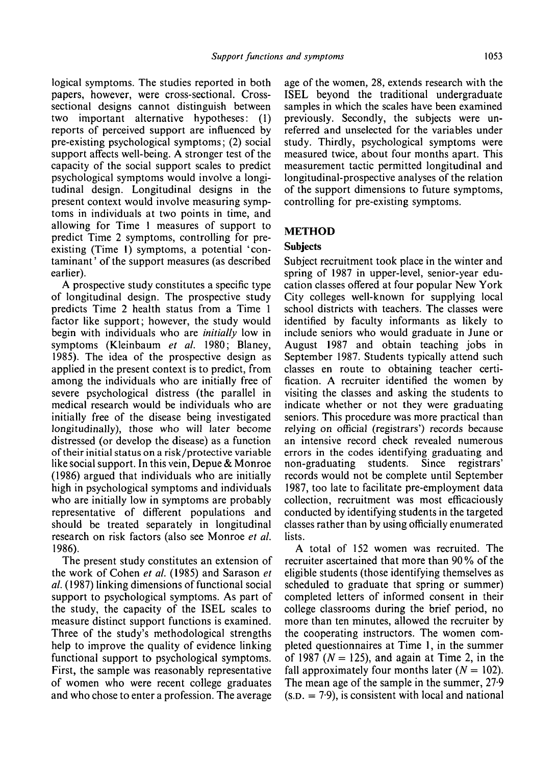logical symptoms. The studies reported in both papers, however, were cross-sectional. Crosssectional designs cannot distinguish between two important alternative hypotheses: (1) reports of perceived support are influenced by pre-existing psychological symptoms; (2) social support affects well-being. A stronger test of the capacity of the social support scales to predict psychological symptoms would involve a longitudinal design. Longitudinal designs in the present context would involve measuring symptoms in individuals at two points in time, and allowing for Time 1 measures of support to predict Time 2 symptoms, controlling for preexisting (Time 1) symptoms, a potential 'contaminant' of the support measures (as described earlier).

A prospective study constitutes a specific type of longitudinal design. The prospective study predicts Time 2 health status from a Time 1 factor like support; however, the study would begin with individuals who are *initially* low in symptoms (Kleinbaum *et al.* 1980; Blaney, 1985). The idea of the prospective design as applied in the present context is to predict, from among the individuals who are initially free of severe psychological distress (the parallel in medical research would be individuals who are initially free of the disease being investigated longitudinally), those who will later become distressed (or develop the disease) as a function of their initial status on a risk/protective variable like social support. In this vein, Depue & Monroe (1986) argued that individuals who are initially high in psychological symptoms and individuals who are initially low in symptoms are probably representative of different populations and should be treated separately in longitudinal research on risk factors (also see Monroe *et al.* 1986).

The present study constitutes an extension of the work of Cohen *et al.* (1985) and Sarason *et al.* (1987) linking dimensions of functional social support to psychological symptoms. As part of the study, the capacity of the ISEL scales to measure distinct support functions is examined. Three of the study's methodological strengths help to improve the quality of evidence linking functional support to psychological symptoms. First, the sample was reasonably representative of women who were recent college graduates and who chose to enter a profession. The average age of the women, 28, extends research with the ISEL beyond the traditional undergraduate samples in which the scales have been examined previously. Secondly, the subjects were unreferred and unselected for the variables under study. Thirdly, psychological symptoms were measured twice, about four months apart. This measurement tactic permitted longitudinal and longitudinal-prospective analyses of the relation of the support dimensions to future symptoms, controlling for pre-existing symptoms.

# **METHOD**

# **Subjects**

Subject recruitment took place in the winter and spring of 1987 in upper-level, senior-year education classes offered at four popular New York City colleges well-known for supplying local school districts with teachers. The classes were identified by faculty informants as likely to include seniors who would graduate in June or August 1987 and obtain teaching jobs in September 1987. Students typically attend such classes en route to obtaining teacher certification. A recruiter identified the women by visiting the classes and asking the students to indicate whether or not they were graduating seniors. This procedure was more practical than relying on official (registrars') records because an intensive record check revealed numerous errors in the codes identifying graduating and non-graduating students. Since registrars' records would not be complete until September 1987, too late to facilitate pre-employment data collection, recruitment was most efficaciously conducted by identifying students in the targeted classes rather than by using officially enumerated lists.

A total of 152 women was recruited. The recruiter ascertained that more than 90 % of the eligible students (those identifying themselves as scheduled to graduate that spring or summer) completed letters of informed consent in their college classrooms during the brief period, no more than ten minutes, allowed the recruiter by the cooperating instructors. The women completed questionnaires at Time 1, in the summer of 1987 ( $N = 125$ ), and again at Time 2, in the fall approximately four months later  $(N = 102)$ . The mean age of the sample in the summer, 27-9  $(S.D. = 7.9)$ , is consistent with local and national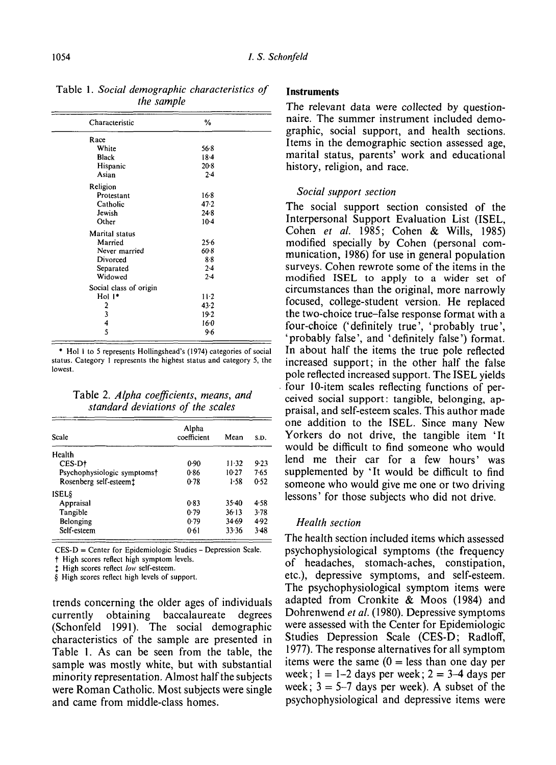| Characteristic          | %      |  |
|-------------------------|--------|--|
| Race                    |        |  |
| White                   | 568    |  |
| <b>Black</b>            | $18-4$ |  |
| Hispanic                | $20-8$ |  |
| Asian                   | $2-4$  |  |
| Religion                |        |  |
| Protestant              | $16-8$ |  |
| Catholic                | 47.2   |  |
| Jewish                  | 24.8   |  |
| Other                   | $10-4$ |  |
| Marital status          |        |  |
| Married                 | 25.6   |  |
| Never married           | $60-8$ |  |
| Divorced                | 8.8    |  |
| Separated               | 2.4    |  |
| Widowed                 | $2-4$  |  |
| Social class of origin  |        |  |
| $Hol$ <sup>*</sup>      | $11-2$ |  |
| 2                       | 43.2   |  |
| $\overline{\mathbf{3}}$ | 19.2   |  |
| 4                       | 160    |  |
| 5                       | 9.6    |  |

Table 1. *Social demographic characteristics of the sample*

• Hoi I to 5 represents Hollingshead's (1974) categories of social status. Category 1 represents the highest status and category 5, the lowest.

Table *2. Alpha coefficients, means, and standard deviations of the scales*

| Scale                       | Alpha<br>coefficient | Mean    | S.D.   |  |
|-----------------------------|----------------------|---------|--------|--|
| Health                      |                      |         |        |  |
| CES-D†                      | 0.90                 | $11-32$ | 9.23   |  |
| Psychophysiologic symptoms† | 0.86                 | $10-27$ | 7.65   |  |
| Rosenberg self-esteem!      | 0.78                 | 1.58    | 0.52   |  |
| ISELS                       |                      |         |        |  |
| Appraisal                   | $0-83$               | $35-40$ | 4.58   |  |
| Tangible                    | 0.79                 | 36.13   | $3-78$ |  |
| Belonging                   | 0.79                 | 34.69   | 4.92   |  |
| Self-esteem                 | 0.61                 | 33.36   | 3.48   |  |

CES-D = Center for Epidemiologic Studies - Depression Scale.

t High scores reflect high symptom levels.

*t* High scores reflect *low* self-esteem.

§ High scores reflect high levels of support.

trends concerning the older ages of individuals currently obtaining baccalaureate degrees (Schonfeld 1991). The social demographic characteristics of the sample are presented in Table 1. As can be seen from the table, the sample was mostly white, but with substantial minority representation. Almost half the subjects were Roman Catholic. Most subjects were single and came from middle-class homes.

#### **Instruments**

The relevant data were collected by questionnaire. The summer instrument included demographic, social support, and health sections. Items in the demographic section assessed age, marital status, parents' work and educational history, religion, and race.

### *Social support section*

The social support section consisted of the Interpersonal Support Evaluation List (ISEL, Cohen *et al.* 1985; Cohen & Wills, 1985) modified specially by Cohen (personal communication, 1986) for use in general population surveys. Cohen rewrote some of the items in the modified ISEL to apply to a wider set of circumstances than the original, more narrowly focused, college-student version. He replaced the two-choice true-false response format with a four-choice ('definitely true', 'probably true', 'probably false', and 'definitely false') format. In about half the items the true pole reflected increased support; in the other half the false pole reflected increased support. The ISEL yields four 10-item scales reflecting functions of perceived social support: tangible, belonging, appraisal, and self-esteem scales. This author made one addition to the ISEL. Since many New Yorkers do not drive, the tangible item 'It would be difficult to find someone who would lend me their car for a few hours' was supplemented by 'It would be difficult to find someone who would give me one or two driving lessons' for those subjects who did not drive.

# *Health section*

The health section included items which assessed psychophysiological symptoms (the frequency of headaches, stomach-aches, constipation, etc.), depressive symptoms, and self-esteem. The psychophysiological symptom items were adapted from Cronkite & Moos (1984) and Dohrenwend *et al.* (1980). Depressive symptoms were assessed with the Center for Epidemiologic Studies Depression Scale (CES-D; Radloff, 1977). The response alternatives for all symptom items were the same  $(0 =$  less than one day per week;  $1 = 1-2$  days per week;  $2 = 3-4$  days per week;  $3 = 5-7$  days per week). A subset of the psychophysiological and depressive items were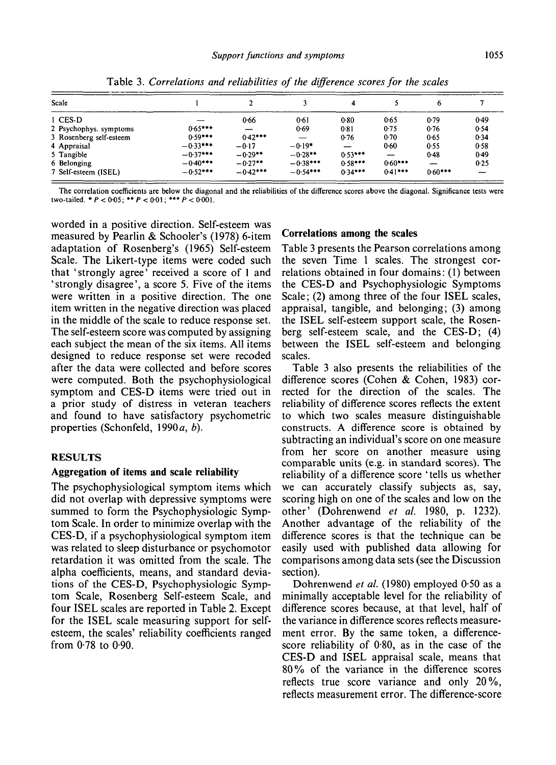| Scale                   |            |            |            |           |                          | o         |      |
|-------------------------|------------|------------|------------|-----------|--------------------------|-----------|------|
| 1 CES-D                 |            | 0.66       | 0.61       | 0.80      | 0.65                     | 0.79      | 0.49 |
| 2 Psychophys. symptoms  | $0.65***$  |            | 0.69       | $0 - 81$  | 0.75                     | 0.76      | 0.54 |
| 3 Rosenberg self-esteem | $0.59***$  | $0.42***$  |            | 0.76      | 0.70                     | 0.65      | 0.34 |
| 4 Appraisal             | $-0.33***$ | $-0.17$    | $-0.19*$   |           | 0.60                     | 0.55      | 0.58 |
| 5 Tangible              | $-0.37***$ | $-0.29**$  | $-0.28**$  | $0.53***$ | $\overline{\phantom{0}}$ | 0.48      | 0.49 |
| 6 Belonging             | $-0.40***$ | $-0.27**$  | $-0.38***$ | $0.58***$ | $0.60***$                | —         | 0.25 |
| 7 Self-esteem (ISEL)    | $-0.52***$ | $-0.42***$ | $-0.54***$ | $0.34***$ | $0.41***$                | $0.60***$ |      |

Table 3. *Correlations and reliabilities of the difference scores for the scales*

The correlation coefficients are below the diagonal and the reliabilities of the difference scores above the diagonal. Significance tests were two-tailed.  $*P < 0.05$ ;  $**P < 0.01$ ;  $***P < 0.001$ .

worded in a positive direction. Self-esteem was measured by Pearlin & Schooler's (1978) 6-item adaptation of Rosenberg's (1965) Self-esteem Scale. The Likert-type items were coded such that 'strongly agree' received a score of 1 and 'strongly disagree', a score 5. Five of the items were written in a positive direction. The one item written in the negative direction was placed in the middle of the scale to reduce response set. The self-esteem score was computed by assigning each subject the mean of the six items. All items designed to reduce response set were recoded after the data were collected and before scores were computed. Both the psychophysiological symptom and CES-D items were tried out in a prior study of distress in veteran teachers and found to have satisfactory psychometric properties (Schonfeld, 1990a, *b).*

## **RESULTS**

#### **Aggregation of items and scale reliability**

The psychophysiological symptom items which did not overlap with depressive symptoms were summed to form the Psychophysiologic Symptom Scale. In order to minimize overlap with the CES-D, if a psychophysiological symptom item was related to sleep disturbance or psychomotor retardation it was omitted from the scale. The alpha coefficients, means, and standard deviations of the CES-D, Psychophysiologic Symptom Scale, Rosenberg Self-esteem Scale, and four ISEL scales are reported in Table 2. Except for the ISEL scale measuring support for selfesteem, the scales' reliability coefficients ranged from  $0.78$  to  $0.90$ .

#### **Correlations among the scales**

Table 3 presents the Pearson correlations among the seven Time 1 scales. The strongest correlations obtained in four domains: (1) between the CES-D and Psychophysiologic Symptoms Scale; (2) among three of the four ISEL scales, appraisal, tangible, and belonging; (3) among the ISEL self-esteem support scale, the Rosenberg self-esteem scale, and the CES-D; (4) between the ISEL self-esteem and belonging scales.

Table 3 also presents the reliabilities of the difference scores (Cohen & Cohen, 1983) corrected for the direction of the scales. The reliability of difference scores reflects the extent to which two scales measure distinguishable constructs. A difference score is obtained by subtracting an individual's score on one measure from her score on another measure using comparable units (e.g. in standard scores). The reliability of a difference score ' tells us whether we can accurately classify subjects as, say, scoring high on one of the scales and low on the other' (Dohrenwend *et al.* 1980, p. 1232). Another advantage of the reliability of the difference scores is that the technique can be easily used with published data allowing for comparisons among data sets (see the Discussion section).

Dohrenwend *et al.* (1980) employed 0-50 as a minimally acceptable level for the reliability of difference scores because, at that level, half of the variance in difference scores reflects measurement error. By the same token, a differencescore reliability of 0-80, as in the case of the CES-D and ISEL appraisal scale, means that 80% of the variance in the difference scores reflects true score variance and only 20%, reflects measurement error. The difference-score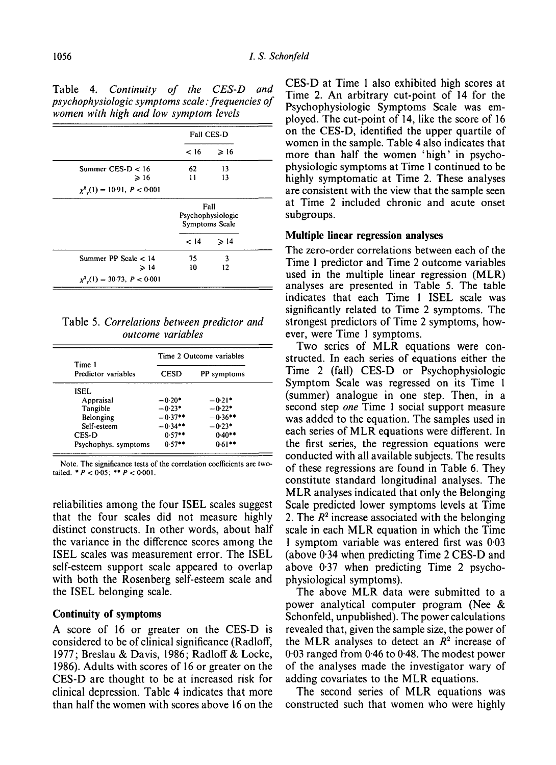Table 4. *Continuity of the CES-D and psychophysiologic symptoms scale: frequencies of women with high and low symptom levels*

|                                                     |                   | <b>Fall CES-D</b>      |  |
|-----------------------------------------------------|-------------------|------------------------|--|
|                                                     | < 16              | $\geq 16$              |  |
| Summer CES- $D < 16$<br>≥ 16                        | 62<br>11          | 13<br>13               |  |
| $\chi^2$ <sub>v</sub> (1) = 10.91, <i>P</i> < 0.001 |                   |                        |  |
|                                                     | Psychophysiologic | Fall<br>Symptoms Scale |  |
|                                                     | < 14              | $\geqslant$ 14         |  |
| Summer PP Scale $< 14$                              | 75.               | 3                      |  |
| ≥ 14                                                | 10                | 12                     |  |
| $\chi^2(1) = 30.73$ , $P < 0.001$                   |                   |                        |  |

Table 5. *Correlations between predictor and outcome variables*

|                               | Time 2 Outcome variables |             |  |  |
|-------------------------------|--------------------------|-------------|--|--|
| Time 1<br>Predictor variables | <b>CESD</b>              | PP symptoms |  |  |
| ISEL                          |                          |             |  |  |
| Appraisal                     | $-0.20*$                 | $-0.21*$    |  |  |
| Tangible                      | $-0.23*$                 | $-0.22*$    |  |  |
| Belonging                     | $-0.37**$                | $-0.36**$   |  |  |
| Self-esteem                   | $-0.34**$                | $-0.23*$    |  |  |
| CES-D                         | $0.57**$                 | $0.40**$    |  |  |
| Psychophys. symptoms          | $0.57**$                 | $0.61***$   |  |  |

Note. The significance tests of the correlation coefficients are twotailed.  $*P < 0.05$ ;  $**P < 0.001$ .

reliabilities among the four **ISEL** scales suggest that the four scales did not measure highly distinct constructs. In other words, about half the variance in the difference scores among the **ISEL** scales was measurement error. The **ISEL** self-esteem support scale appeared to overlap with both the Rosenberg self-esteem scale and the **ISEL** belonging scale.

#### **Continuity of symptoms**

A score of 16 or greater on the CES-D is considered to be of clinical significance (Radloff, 1977; Breslau & Davis, 1986; Radloff & Locke, 1986). Adults with scores of 16 or greater on the CES-D are thought to be at increased risk for clinical depression. Table 4 indicates that more than half the women with scores above 16 on the CES-D at Time 1 also exhibited high scores at Time 2. An arbitrary cut-point of 14 for the Psychophysiologic Symptoms Scale was employed. The cut-point of 14, like the score of 16 on the CES-D, identified the upper quartile of women in the sample. Table 4 also indicates that more than half the women 'high' in psychophysiologic symptoms at Time 1 continued to be highly symptomatic at Time 2. These analyses are consistent with the view that the sample seen at Time 2 included chronic and acute onset subgroups.

# **Multiple linear regression analyses**

The zero-order correlations between each of the Time 1 predictor and Time 2 outcome variables used in the multiple linear regression (MLR) analyses are presented in Table 5. The table indicates that each Time 1 ISEL scale was significantly related to Time 2 symptoms. The strongest predictors of Time 2 symptoms, however, were Time 1 symptoms.

Two series of MLR equations were constructed. In each series of equations either the Time 2 (fall) CES-D or Psychophysiologic Symptom Scale was regressed on its Time 1 (summer) analogue in one step. Then, in a second step *one* Time 1 social support measure was added to the equation. The samples used in each series of MLR equations were different. In the first series, the regression equations were conducted with all available subjects. The results of these regressions are found in Table 6. They constitute standard longitudinal analyses. The MLR analyses indicated that only the Belonging Scale predicted lower symptoms levels at Time 2. The  $R^2$  increase associated with the belonging scale in each MLR equation in which the Time 1 symptom variable was entered first was 0-03 (above 0-34 when predicting Time 2 CES-D and above 0-37 when predicting Time 2 psychophysiological symptoms).

The above MLR data were submitted to a power analytical computer program (Nee & Schonfeld, unpublished). The power calculations revealed that, given the sample size, the power of the MLR analyses to detect an  $R^2$  increase of 003 ranged from 0-46 to 0-48. The modest power of the analyses made the investigator wary of adding covariates to the MLR equations.

The second series of MLR equations was constructed such that women who were highly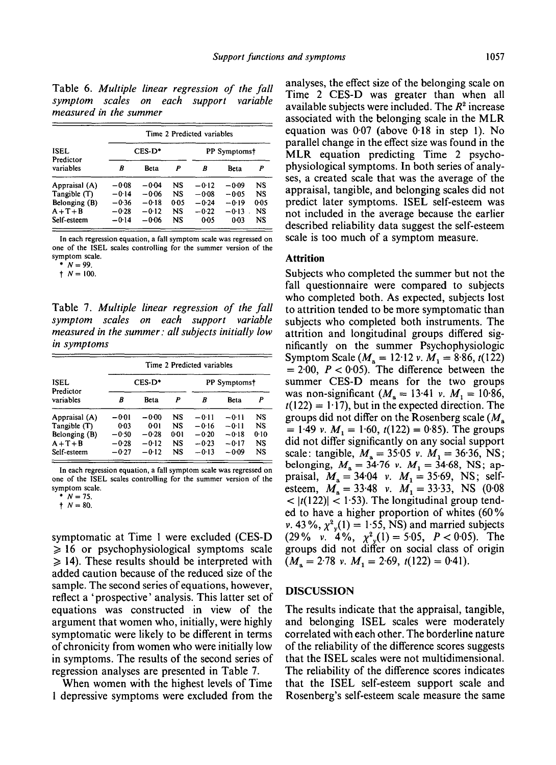Table 6. *Multiple linear regression of the fall symptom scales on each support variable measured in the summer*

| ISEL<br>Predictor<br>variables | Time 2 Predicted variables |         |         |              |         |         |  |
|--------------------------------|----------------------------|---------|---------|--------------|---------|---------|--|
|                                | $CES-D*$                   |         |         | PP Symptomst |         |         |  |
|                                | R                          | Beta    | P       | R            | Beta    | P       |  |
| Appraisal (A)                  | $-0.08$                    | $-0.04$ | NS      | $-0.12$      | $-0.09$ | NS      |  |
| Tangible (T)                   | $-0.14$                    | $-0.06$ | NS      | $-0.08$      | $-0.05$ | NS      |  |
| Belonging (B)                  | $-0.36$                    | $-0.18$ | $0-0.5$ | $-0.24$      | $-0.19$ | $0-0.5$ |  |
| $A + T + B$                    | $-0.28$                    | $-0.12$ | NS      | $-0.22$      | $-0.13$ | NS      |  |
| Self-esteem                    | $-0.14$                    | $-0.06$ | NS      | 0.05         | 0.03    | NS      |  |

In each regression equation, a fall symptom scale was regressed on one of the ISEL scales controlling for the summer version of the symptom scale.

•  $N = 99$ .

 $f N = 100.$ 

Table 7. *Multiple linear regression of the fall symptom scales on each support variable measured in the summer: all subjects initially low in symptoms*

|                        | Time 2 Predicted variables |         |           |              |         |           |  |
|------------------------|----------------------------|---------|-----------|--------------|---------|-----------|--|
| ISEL                   | $CES-D*$                   |         |           | PP Symptoms† |         |           |  |
| Predictor<br>variables | R                          | Beta    | P         | B            | Beta    | P         |  |
| Appraisal (A)          | $-0.01$                    | $-0.00$ | NS        | $-0.11$      | $-0.11$ | NS        |  |
| Tangible (T)           | 0.03                       | 001     | NS        | $-0.16$      | $-0.11$ | <b>NS</b> |  |
| Belonging (B)          | $-0.50$                    | $-0.28$ | 001       | $-0.20$      | $-0.18$ | 0.10      |  |
| $A+T+B$                | $-0.28$                    | $-0.12$ | NS        | $-0.23$      | $-0.17$ | NS        |  |
| Self-esteem            | $-0.27$                    | $-0.12$ | <b>NS</b> | $-0.13$      | $-0.09$ | <b>NS</b> |  |

In each regression equation, a fall symptom scale was regressed on one of the ISEL scales controlling for the summer version of the symptom scale.

 $t N = 80$ .

symptomatic at Time 1 were excluded (CES-D  $\geq 16$  or psychophysiological symptoms scale  $\ge$  14). These results should be interpreted with added caution because of the reduced size of the sample. The second series of equations, however, reflect a ' prospective' analysis. This latter set of equations was constructed in view of the argument that women who, initially, were highly symptomatic were likely to be different in terms of chronicity from women who were initially low in symptoms. The results of the second series of regression analyses are presented in Table 7.

When women with the highest levels of Time 1 depressive symptoms were excluded from the analyses, the effect size of the belonging scale on Time 2 CES-D was greater than when all available subjects were included. The *R2* increase associated with the belonging scale in the MLR equation was  $0.07$  (above  $0.18$  in step 1). No parallel change in the effect size was found in the MLR equation predicting Time 2 psychophysiological symptoms. In both series of analyses, a created scale that was the average of the appraisal, tangible, and belonging scales did not predict later symptoms. ISEL self-esteem was not included in the average because the earlier described reliability data suggest the self-esteem scale is too much of a symptom measure.

## **Attrition**

Subjects who completed the summer but not the fall questionnaire were compared to subjects who completed both. As expected, subjects lost to attrition tended to be more symptomatic than subjects who completed both instruments. The attrition and longitudinal groups differed significantly on the summer Psychophysiologic Symptom Scale ( $M_a = 12.12$  v.  $M_1 = 8.86$ , t(122)  $= 2.00$ ,  $P < 0.05$ ). The difference between the summer CES-D means for the two groups was non-significant  $(M_a = 13.41 \text{ v. } M_1 = 10.86,$  $t(122) = 1.17$ , but in the expected direction. The groups did not differ on the Rosenberg scale  $(M_{\rm a}$  $= 1.49$  v.  $M_1 = 1.60$ ,  $t(122) = 0.85$ ). The groups did not differ significantly on any social support scale: tangible,  $M_a = 35.05$  v.  $M_1 = 36.36$ , NS; belonging,  $M_a = 34.76$  v.  $M_1 = 34.68$ , NS; appraisal,  $M_a = 34.04$  v.  $M_1 = 35.69$ , NS; selfesteem,  $M_a = 33.48$  v.  $M_1 = 33.33$ , NS (0.08)  $<$   $|t(122)|$   $<$  1.53). The longitudinal group tended to have a higher proportion of whites (60 % v. 43%,  $\chi^2(1) = 1.55$ , NS) and married subjects  $(29\% \text{ v. } 4\%, \text{ v. } x^2(1) = 5.05, P < 0.05)$ . The groups did not differ on social class of origin  $(M_a = 2.78 \text{ v.} M_1 = 2.69, t(122) = 0.41).$ 

#### **DISCUSSION**

The results indicate that the appraisal, tangible, and belonging ISEL scales were moderately correlated with each other. The borderline nature of the reliability of the difference scores suggests that the ISEL scales were not multidimensional. The reliability of the difference scores indicates that the ISEL self-esteem support scale and Rosenberg's self-esteem scale measure the same

 $* N = 75.$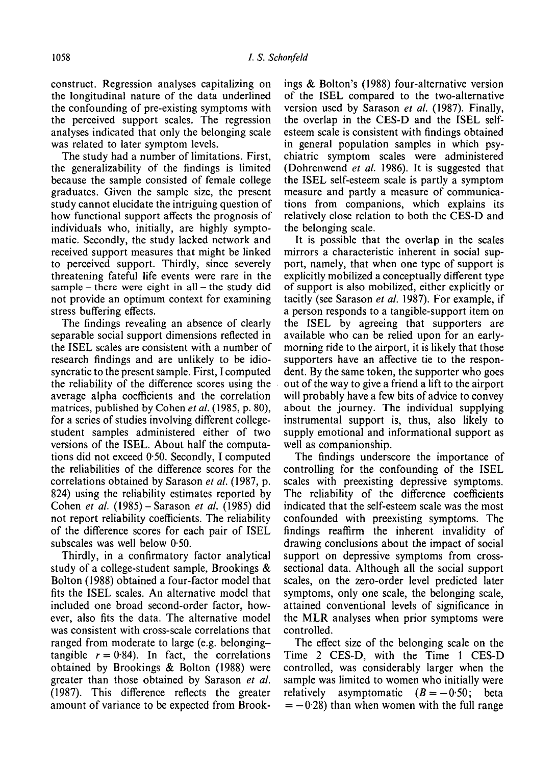construct. Regression analyses capitalizing on the longitudinal nature of the data underlined the confounding of pre-existing symptoms with the perceived support scales. The regression analyses indicated that only the belonging scale was related to later symptom levels.

The study had a number of limitations. First, the generalizability of the findings is limited because the sample consisted of female college graduates. Given the sample size, the present study cannot elucidate the intriguing question of how functional support affects the prognosis of individuals who, initially, are highly symptomatic. Secondly, the study lacked network and received support measures that might be linked to perceived support. Thirdly, since severely threatening fateful life events were rare in the sample – there were eight in all – the study did not provide an optimum context for examining stress buffering effects.

The findings revealing an absence of clearly separable social support dimensions reflected in the ISEL scales are consistent with a number of research findings and are unlikely to be idiosyncratic to the present sample. First, I computed the reliability of the difference scores using the average alpha coefficients and the correlation matrices, published by Cohen *et al.* (1985, p. 80), for a series of studies involving different collegestudent samples administered either of two versions of the ISEL. About half the computations did not exceed 0-50. Secondly, I computed the reliabilities of the difference scores for the correlations obtained by Sarason *et al.* (1987, p. 824) using the reliability estimates reported by Cohen *et al.* (1985)-Sarason *et al.* (1985) did not report reliability coefficients. The reliability of the difference scores for each pair of ISEL subscales was well below 0.50.

Thirdly, in a confirmatory factor analytical study of a college-student sample, Brookings & Bolton (1988) obtained a four-factor model that fits the ISEL scales. An alternative model that included one broad second-order factor, however, also fits the data. The alternative model was consistent with cross-scale correlations that ranged from moderate to large (e.g. belongingtangible  $r = 0.84$ ). In fact, the correlations obtained by Brookings & Bolton (1988) were greater than those obtained by Sarason *et al.* (1987). This difference reflects the greater amount of variance to be expected from Brookings & Bolton's (1988) four-alternative version of the ISEL compared to the two-alternative version used by Sarason *et al.* (1987). Finally, the overlap in the CES-D and the ISEL selfesteem scale is consistent with findings obtained in general population samples in which psychiatric symptom scales were administered (Dohrenwend *et al.* 1986). It is suggested that the ISEL self-esteem scale is partly a symptom measure and partly a measure of communications from companions, which explains its relatively close relation to both the CES-D and the belonging scale.

It is possible that the overlap in the scales mirrors a characteristic inherent in social support, namely, that when one type of support is explicitly mobilized a conceptually different type of support is also mobilized, either explicitly or tacitly (see Sarason *et al.* 1987). For example, if a person responds to a tangible-support item on the ISEL by agreeing that supporters are available who can be relied upon for an earlymorning ride to the airport, it is likely that those supporters have an affective tie to the respondent. By the same token, the supporter who goes out of the way to give a friend a lift to the airport will probably have a few bits of advice to convey about the journey. The individual supplying instrumental support is, thus, also likely to supply emotional and informational support as well as companionship.

The findings underscore the importance of controlling for the confounding of the ISEL scales with preexisting depressive symptoms. The reliability of the difference coefficients indicated that the self-esteem scale was the most confounded with preexisting symptoms. The findings reaffirm the inherent invalidity of drawing conclusions about the impact of social support on depressive symptoms from crosssectional data. Although all the social support scales, on the zero-order level predicted later symptoms, only one scale, the belonging scale, attained conventional levels of significance in the MLR analyses when prior symptoms were controlled.

The effect size of the belonging scale on the Time 2 CES-D, with the Time 1 CES-D controlled, was considerably larger when the sample was limited to women who initially were relatively asymptomatic  $(B = -0.50;$  beta  $= -0.28$ ) than when women with the full range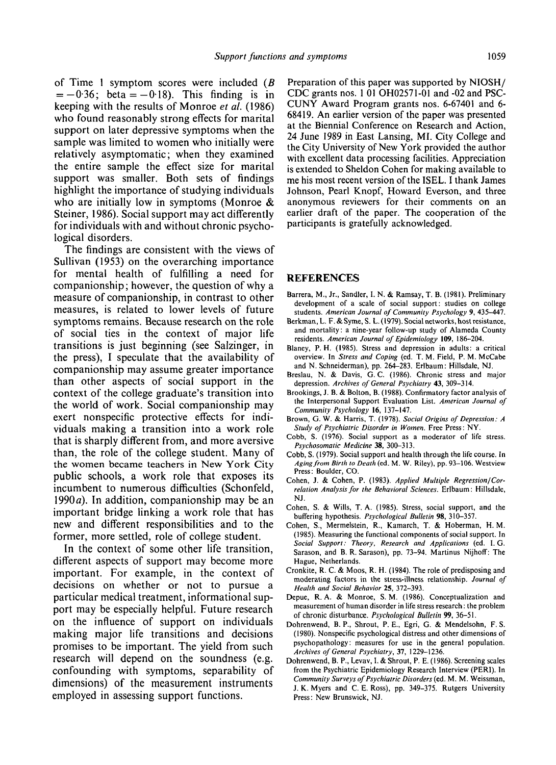of Time 1 symptom scores were included *(B*  $=-0.36$ ; beta  $=-0.18$ ). This finding is in keeping with the results of Monroe *et al.* (1986) who found reasonably strong effects for marital support on later depressive symptoms when the sample was limited to women who initially were relatively asymptomatic; when they examined the entire sample the effect size for marital support was smaller. Both sets of findings highlight the importance of studying individuals who are initially low in symptoms (Monroe & Steiner, 1986). Social support may act differently for individuals with and without chronic psychological disorders.

The findings are consistent with the views of Sullivan (1953) on the overarching importance for mental health of fulfilling a need for companionship; however, the question of why a measure of companionship, in contrast to other measures, is related to lower levels of future symptoms remains. Because research on the role of social ties in the context of major life transitions is just beginning (see Salzinger, in the press), I speculate that the availability of companionship may assume greater importance than other aspects of social support in the context of the college graduate's transition into the world of work. Social companionship may exert nonspecific protective effects for individuals making a transition into a work role that is sharply different from, and more aversive than, the role of the college student. Many of the women became teachers in New York City public schools, a work role that exposes its incumbent to numerous difficulties (Schonfeld, 1990a). In addition, companionship may be an important bridge linking a work role that has new and different responsibilities and to the former, more settled, role of college student.

In the context of some other life transition, different aspects of support may become more important. For example, in the context of decisions on whether or not to pursue a particular medical treatment, informational support may be especially helpful. Future research on the influence of support on individuals making major life transitions and decisions promises to be important. The yield from such research will depend on the soundness (e.g. confounding with symptoms, separability of dimensions) of the measurement instruments employed in assessing support functions.

Preparation of this paper was supported by NIOSH/ CDC grants nos. 1 01 OH02571-01 and -02 and PSC-CUNY Award Program grants nos. 6-67401 and 6- 68419. An earlier version of the paper was presented at the Biennial Conference on Research and Action, 24 June 1989 in East Lansing, MI. City College and the City University of New York provided the author with excellent data processing facilities. Appreciation is extended to Sheldon Cohen for making available to me his most recent version of the ISEL. I thank James Johnson, Pearl Knopf, Howard Everson, and three anonymous reviewers for their comments on an earlier draft of the paper. The cooperation of the participants is gratefully acknowledged.

#### **REFERENCES**

- Barrera, M., Jr., Sandier, I. N. & Ramsay, T. B. (1981). Preliminary development of a scale of social support: studies on college students. *American Journal of Community Psychology* 9, 435-447.
- Berkman, L. F. & Syme, S. L. (1979). Social networks, host resistance, and mortality: a nine-year follow-up study of Alameda County residents. *American Journal of Epidemiology* **109,** 186-204.
- Blaney, P. H. (1985). Stress and depression in adults: a critical overview. In *Stress and Coping* (ed. T. M. Field, P. M. McCabe and N. Schneiderman), pp. 264-283. Erlbaum: Hillsdale, NJ.
- Breslau, N. & Davis, G. C. (1986). Chronic stress and major depression. *Archives of General Psychiatry* 43, 309-314.
- Brookings, J. B. & Bolton, B. (1988). Confirmatory factor analysis of the Interpersonal Support Evaluation List. *American Journal of Community Psychology* 16, 137-147.
- Brown, G. W. & Harris, T. (1978). *Social Origins of Depression: A Study of Psychiatric Disorder in Women.* Free Press: NY.
- Cobb, S. (1976). Social support as a moderator of life stress. *Psychosomatic Medicine* 38, 300-313.
- Cobb, S. (1979). Social support and health through the life course. In *Aging from Birth to Death* (ed. M. W. Riley), pp. 93-106. Westview Press: Boulder, CO.
- Cohen, J. & Cohen, P. (1983). *Applied Multiple Regression/Correlation Analysis for the Behavioral Sciences.* Erlbaum: Hillsdale, NJ.
- Cohen, S. & Wills, T. A. (1985). Stress, social support, and the buffering hypothesis. *Psychological Bulletin* 98, 310-357.
- Cohen, S., Mermelstein, R., Kamarch, T. & Hoberman, H. M. (1985). Measuring the functional components of social support. In *Social Support: Theory, Research and Applications* (ed. I. G. Sarason, and B. R. Sarason), pp. 73-94. Martinus Nijhoff: The Hague, Netherlands.
- Cronkite, R. C. & Moos, R. H. (1984). The role of predisposing and moderating factors in the stress-illness relationship. *Journal of Health and Social Behavior* 25, 372-393.
- Depue, R. A. & Monroe, S. M. (1986). Conceptualization and measurement of human disorder in life stress research: the problem of chronic disturbance. *Psychological Bulletin* 99, 36-51.
- Dohrenwend, B. P., Shrout, P. E., Egri, G. & Mendelsohn, F. S. (1980). Nonspecific psychological distress and other dimensions of psychopathology: measures for use in the general population. *Archives of General Psychiatry,* 37, 1229-1236.
- Dohrenwend, B. P., Levav, I. & Shrout, P. E. (1986). Screening scales from the Psychiatric Epidemiology Research Interview (PERI). In *Community Surveys of Psychiatric Disorders* (ed. M. M. Weissman, J. K. Myers and C. E. Ross), pp. 349-375. Rutgers University Press: New Brunswick, NJ.